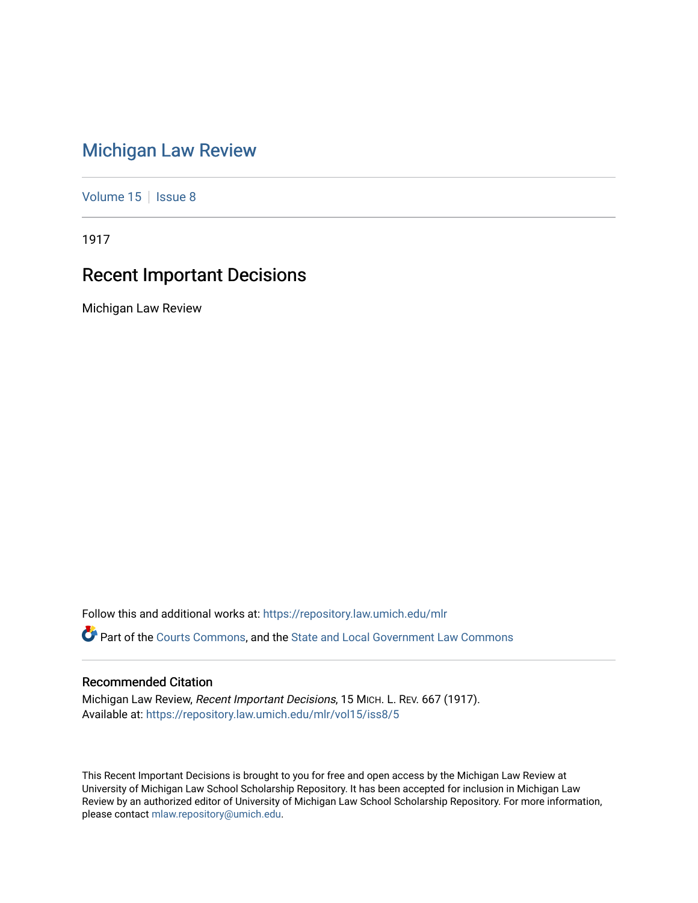## [Michigan Law Review](https://repository.law.umich.edu/mlr)

[Volume 15](https://repository.law.umich.edu/mlr/vol15) | [Issue 8](https://repository.law.umich.edu/mlr/vol15/iss8)

1917

## Recent Important Decisions

Michigan Law Review

Follow this and additional works at: [https://repository.law.umich.edu/mlr](https://repository.law.umich.edu/mlr?utm_source=repository.law.umich.edu%2Fmlr%2Fvol15%2Fiss8%2F5&utm_medium=PDF&utm_campaign=PDFCoverPages) 

Part of the [Courts Commons,](http://network.bepress.com/hgg/discipline/839?utm_source=repository.law.umich.edu%2Fmlr%2Fvol15%2Fiss8%2F5&utm_medium=PDF&utm_campaign=PDFCoverPages) and the [State and Local Government Law Commons](http://network.bepress.com/hgg/discipline/879?utm_source=repository.law.umich.edu%2Fmlr%2Fvol15%2Fiss8%2F5&utm_medium=PDF&utm_campaign=PDFCoverPages) 

## Recommended Citation

Michigan Law Review, Recent Important Decisions, 15 MICH. L. REV. 667 (1917). Available at: [https://repository.law.umich.edu/mlr/vol15/iss8/5](https://repository.law.umich.edu/mlr/vol15/iss8/5?utm_source=repository.law.umich.edu%2Fmlr%2Fvol15%2Fiss8%2F5&utm_medium=PDF&utm_campaign=PDFCoverPages)

This Recent Important Decisions is brought to you for free and open access by the Michigan Law Review at University of Michigan Law School Scholarship Repository. It has been accepted for inclusion in Michigan Law Review by an authorized editor of University of Michigan Law School Scholarship Repository. For more information, please contact [mlaw.repository@umich.edu.](mailto:mlaw.repository@umich.edu)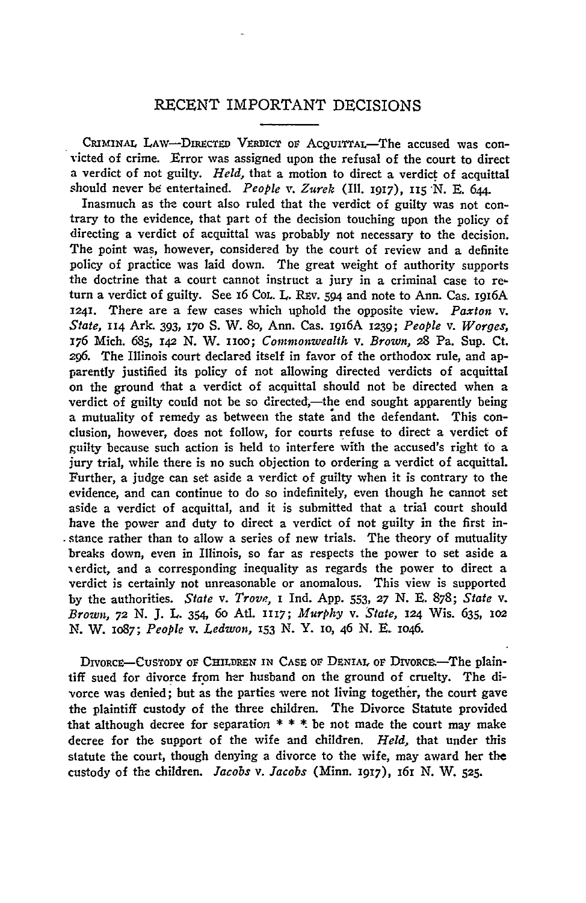## RECENT IMPORTANT DECISIONS

CRIMINAL LAW-DIRECTED VERDICT oF ACQUITTAL-The accused was con victed of crime. Error was assigned upon the refusal of the court to direct a verdict of not guilty. *Held,* that a motion to direct a verdict of acquittal should never be entertained. *People v. Zurek* (Ill. 1917), 115 N. E. 644.

Inasmuch as the court also ruled that the verdict of guilty was not contrary to the evidence, that part of the decision touching upon the policy of directing a verdict of acquittal was probably not necessary to the decision. The point was, however, considered by the court of review and a definite policy of practice was laid down. The great weight of authority supports the doctrine that a court cannot instruct a jury in a criminal case to return a verdict of guilty. See 16 Cor.. L. REv. *594* and note to Ann. Cas. l9I6A 1241. There are a few cases which uphold the opposite view. *Paxton* v. *State,* n4 Ark. 393, 170 S. W. So, Ann. Cas. l9I6A 1239; *People* v. *Worges,*  176 Mich. 685, 142 N. W. noo; *Commonwealth* v. *Brown,* 28 Pa. Sup. Ct. *296.* The Illinois court declared itself in favor of the orthodox rule, and apparently justified its policy of not allowing directed verdicts of acquittal on the ground 1hat a verdict of acquittal should not be directed when a verdict of guilty could not be so directed,—the end sought apparently being a mutuality of remedy as between the state and the defendant. This conclusion, however, does not follow, for courts refuse to direct a verdict of guilty because such action is held to interfere with the accused's right fo a jury trial, while there is no such objection to ordering a verdict of acquittal. Further, a judge can set aside a verdict of guilty when it is contrary to the evidence, and can continue to do so indefinitely, even though he cannot set aside a verdict of acquittal, and it is submitted that a trial court should have the power and duty to direct a verdict of not guilty in the first in-, stance rather than to allow a series of new trials. The theory of mutuality breaks down, even in Illinois, so far as respects the power to set aside a 'erdict, and a corresponding inequality as regards the power to direct a verdict is certainly not unreasonable or anomalous. This view is supported by the authorities. *State* v. *Trove,* l Ind. App. 553, *27* N. E. 878; *State* v. *Brown, 72* N. J. L. 354. 6o Atl. *III7; Murphy* v. *State,* 124 Wis. 635, 102 N. W. 1o87; *People* v. *Ledwon,* 153 N. Y. 10, 46 N. E. 1046.

DIVORCE-CUSTODY OF CHILDREN IN CASE OF DENIAL OF DIVORCE-The plaintiff sued for divorce from her husband on the ground of cruelty. The divorce was denied; but as the parties were not living together, the court gave the plaintiff custody of the three children. The Divorce Statute provided that although decree for separation  $* * *$  be not made the court may make decree for the support of the wife and children. *Held,* that under this statute the court, though denying a divorce to the wife, may award her the custody of the children. *Jacobs v. Jacobs* (Minn. 1917), 161 N. W. 525.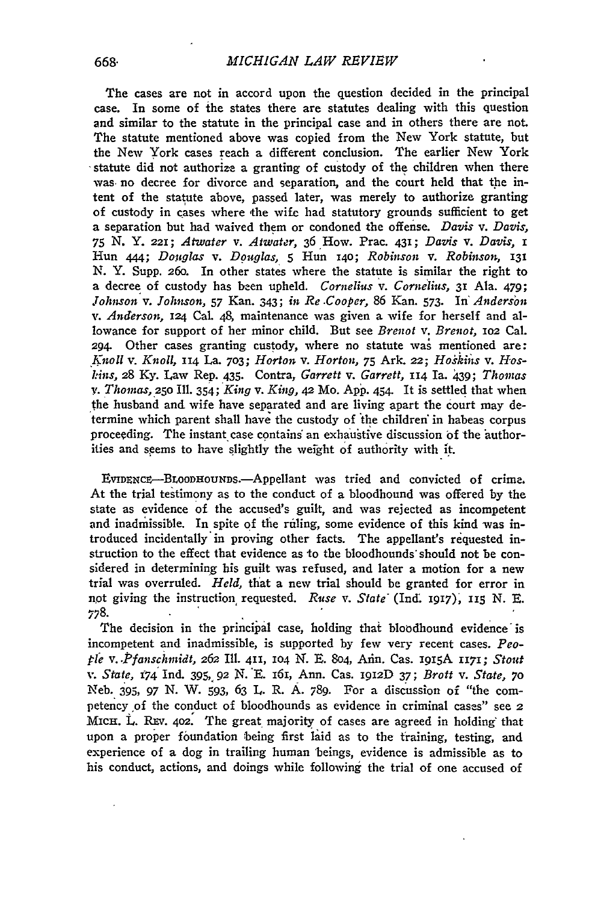The cases are not in accord upon the question decided in the principal case. In some of the states there are statutes dealing with this question and similar to the statute in the principal case and in others there are not. The statute mentioned above was copied from the New York statute, but the New York cases reach a different conclusion. The earlier New York statute did not authorize a granting of custody of the children when there was no decree for divorce and separation, and the court held that the intent of the statute above, passed later, was merely to authorize granting of custody in cases where the wife had statutory grounds sufficient to get a separation but had waived them or condoned the offense. *Davis v. Davis*, 75 N. Y. 221; Atwater v. Atwater, 36 How. Prac. 431; Davis v. Davis, I Hun *444; Do11glas* v. *Df)uglas,* 5 Hun 140; *Robinson* v. *Robinso1i,* 131 N. Y. Supp. 26o. In other states where the statute is similar the right to a decree of custody has been upheld. *Cornelius* v. *Corne'lius,* 31 Ala. 479; *.Tolmson·v. Johnson,* 57 Kan. 343; *in Re .Cooper,* 86 Kan. 573. In' *Anderson*  v. *Anderson,* 124 Cal. 48, maintenance was given a wife for herself and allowance for support of her minor child. But see *Brenot* v. *Brenot,* 102 Cal. 294 Other cases granting custody, where no statute was mentioned are: *\_};noll* v. *Knoll,* II4 La. 703; *Horlon* v. *Horton,* 75 Ark. 22; *Hoskii1s* v. *Hosl:i11s,* 28 Ky. Law Rep. 435. Contra, *Garrett* v. *Garrett,* II4 Ia. 439; *Thomas*  v. *Thomas,* 250 Ill. *354; 'King* v. *King,* 42 Mo. App. 454- It is settled that when the husband and wife have separated and are living apart the court may determine which parent shall have the custody of the children in habeas corpus proceeding. The instant case contains an exhaustive discussion of the authorities and seems to have slightly the weight of authority with it.

EVIDENCE-BLOODHOUNDS.-Appellant was tried and convicted of crime. At the trial testimony as to the conduct of a bloodhound was offered by the state as evidence of the accused's guilt, and was rejected as incompetent and inadmissible. In spite of the ruling, some evidence of this kind was introduced incidentally. in proving other facts. The appellant's requested instruction to the effect that evidence as *to* the bloodhounds' should not be considered in determining his guilt was refused, and later a motion for a new trial was overruled. *Held*, that a new trial should be granted for error in not giving the instruction requested. *Ruse v. State<sup>'</sup>* (Ind. 1917), 115 N. E. 778. . . .

The decision in the principal case, holding that bloodhound evidence is incompetent and inadmissible, is supported by few very recent cases. *Peo*ple v . *. Pfanschmidt,* 262 Ill. 4n, 104 N. E. 8o4, Ann. Cas. 1915A n71; *Stout*  \'. *State,* t74' Ind. 395, 92 N. 'E. 161, Ann. Cas. 1912D 37; *Brott* v. *State,* 70 Neb. 395, 97 N. W. 593, 63 L. R. A. 789. For a discussion of "the competency of the conduct of bloodhounds as evidence in criminal cases" see 2 MICH. L. REV. 402. The great majority of cases are agreed in holding that upon a proper foundation being first laid as to the training, testing, and experience of a dog in trailing human 'beings, evidence is admissible as to his conduct, actions, and doings while following the trial of one accused of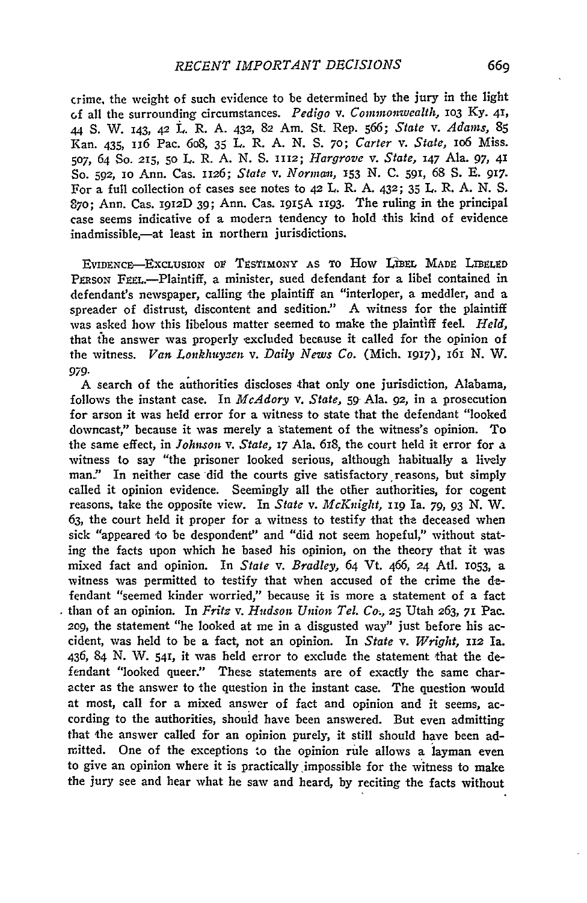crime, the weight of such evidence to be determined by the jury in the light c:.f all the surrounding circumstances. *Pedigo* v. *Commonwealth,* 103 Ky. 41, 44 S. W. 143, 42 L. R. A. 432, 82 Am. St. Rep. 566; *State* v. *Adams,* 85 Kan. 435, u6 Pac. 6o8, 35 L. R. A. N. S. 70; *Carter* v. *State,* 106 Miss. 507, 64 So. 215, 50 L. R. A. N. S. n12; *Hargrove* v. *State,* 147 Ala. 97, 41 So. 592, IO Ann. Cas. n26; *State* v. *Norma11,* 153 N. C. 591, 68 S. E. 917. For a full collection of cases see notes to 42 L. R. A. 432; 35 L. R. A. N. S. 870; Ann. Cas. 1912D 39; Ann. Cas. 1915A 1193. The ruling in the principal case seems indicative of a modern tendency to hold this kind of evidence inadmissible,-at least in northern jurisdictions.

EVIDENCE-EXCLUSION OF TESTIMONY AS TO HOW LIBEL MADE LIBELED PERSON FEEL.--Plaintiff, a minister, sued defendant for a libel contained in defendant's newspaper, calling the plaintiff an "interloper, a meddler, and a spreader of distrust, discontent and sedition." A witness for the plaintiff was asked how this libelous matter seemed to make the plaintiff feel. *Held*, that the answer was properly excluded because it called for the opinion of the witness. *Van Lonkhuyzen v. Daily News Co.* (Mich. 1917), 161 N. W. *979.* 

A search of the authorities discloses that only one jurisdiction, Alabama, follows the instant case. In *McAdory* v, *State,* 59' Ala. *92,* in a prosecution for arson it was held error for a witness *to* state that the defendant "looked downcast," because it was merely a statement of the witness's opinion. To the same effect, in *Johnson* v. *State,* 17 Ala. 618, the court held it error for a witness to say "the prisoner looked serious, although habitually a lively man." In neither case did the courts give satisfactory reasons, but simply called it opinion evidence. Seemingly all the other authorities, for cogent reasons, take the opposite view. In *State* v. *M cK11igllt,* II9 Ia. *79,* 93 N. W. 63, the court held it proper for a witness to testify that the deceased when sick "appeared to be despondent" and "did not seem hopeful," without stating the facts upon which he based his opinion, on the theory that it was mixed fact and opinion. In *State* v. *Bradley,* 64 Vt. 466, 24 Atl. 1053, a witness was permitted to testify that when accused of the crime the defendant "seemed kinder worried," because it is more a statement of a fact . than of an opinion. In *Fritz* v. *Hudson U11io1i Tel. Co,,* 25 Utah 263, 71 Pac. 209, the statement "he looked at me in a disgusted way" just before his accident, was held to be a fact, not an opinion. In *State* v. *Wright,* n2 Ia. 436, 84 N. W. 541, it was held error to exclude the statement that the defendant "looked queer." These statements are of exactly the same character as the answer to the question in the instant case. The question would at most, call for a mixed answer of fact and opinion and it seems, according to the authorities, shouid have been answered. But even admitting that the answer called for an opinion purely, it still should have been admitted. One of the exceptions to the opinion rule allows a layman even to give an opinion where it is practically impossible for the witness to make the jury see and hear what he saw and heard, by reciting the facts without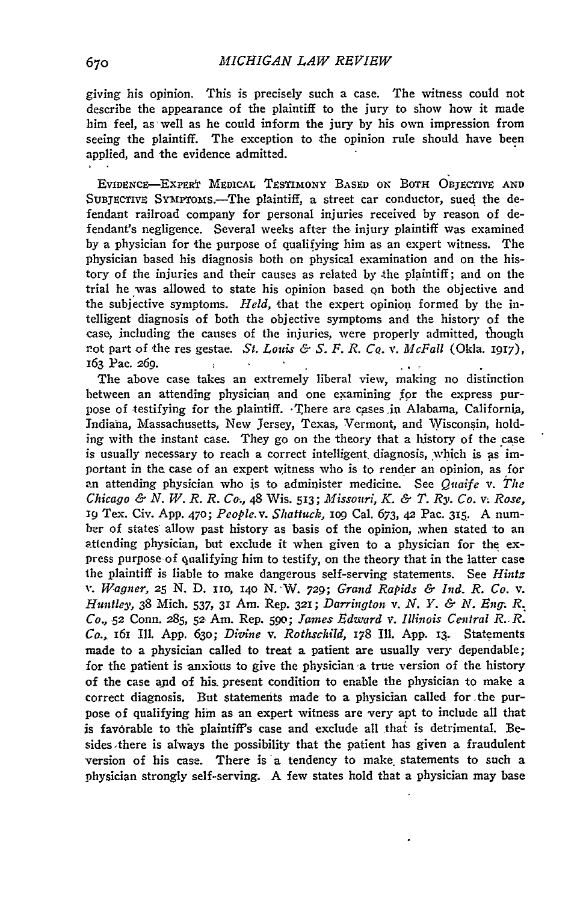giving his opinion. This is precisely such a case. The witness could not describe the appearance of the plaintiff to the jury to show how it made him feel, as· well as he could inform the jury by his own impression from seeing the plaintiff. The exception to the opinion rule should have been applied, and the evidence admitted.

EVIDENCE-EXPERT MEDICAL TESTIMONY BASED ON BOTH OBTECTIVE AND SUBJECTIVE SYMPTOMS.-The plaintiff, a street car conductor, sued the defendant railroad company for personal injuries received by reason of defendant's negligence. Several weeks after the injury plaintiff was examined by a physician for the purpose of qualifying him as an expert witness. The physician based his diagnosis both on physical examination and on the history of the injuries and their causes as related by the plaintiff; and on the trial he was allowed to state his opinion based qn both the objective and the subjective symptoms. *Held*, that the expert opinion formed by the intelligent diagnosis of both the objective symptoms and the history of the case, including the causes of the injuries, were properly admitted, though r.ot part of the res gestae. St. *Louis & S. F. R. Cq. v. McFall* (Okla. 1917), 163 Pac. 269.  $\mathbf{y}$  $\mathbf{r}$  $\frac{1}{2}$  ,  $\frac{1}{2}$  ,  $\frac{1}{2}$ 

The above case takes an extremely liberal view, making no distinction between an attending physician and one examining for the express purpose of testifying for the plaintiff.  $\cdot$ There are cases in Alabama, California, Indiana, Massachusetts, New Jersey, Texas, Vermont, and Wisconsin, holding with the instant case. They go on the theory that a history of the case is usually necessary to reach a correct intelligent diagnosis, which is as important in the case of an expert witness who is to render an opinion, as for an attending physician who is to administer medicine. See *Quaife v. The Chicago* & N. *W.R. R. Co.,* 48 Wis. 513; *Misso11ri,* K. & T. *Rj•. Co.* V; *Rose, 19* Tex. Civ. App. 470; *People.* v. *Shattuck,* 109 Cal. 673, *42* Pac. 315. A number of states allow past history as basis of the opinion, when stated to an attending physician, but exclude it when given to a physician for the express purpose of qualifying him to testify, on the theory that in the latter case the plaintiff is liable to make dangerous self-serving statements. See *Hintz* , •. *W.ag11er, 25* N. D. no, 140 N. ·W. *729; Gra11d Rapids* & *Ind. R. Co.* v. *Hi111tley,* 38 Mich. 537, 31 Am. Rep. 321; *Darrington* v. *N. Y.* & *N. E11g-.* R~ *Co., 52 Conn. 285, 52 Am. Rep. 590; James Edward v. Illinois Central R. R.* Co., 161 Ill. App. 630; *Divine* v. *Rothschild*, 178 Ill. App. 13. Statements made to a physician called to treat a patient are usually very dependable; for the patient is anxious to give the physician a true version of the history of the case and of his present condition to enable the physician to make a correct diagnosis. But statemerits made to a physician called for \_the purpose of qualifying him as an expert witness are very apt to include all that is favorable to the plaintiff's case and exclude all that is detrimental. Besides. there is always the possibility that the patient has given a fraudulent version of his case. There is a tendency to make statements to such a physician strongly self-serving. A few states hold that a physician may base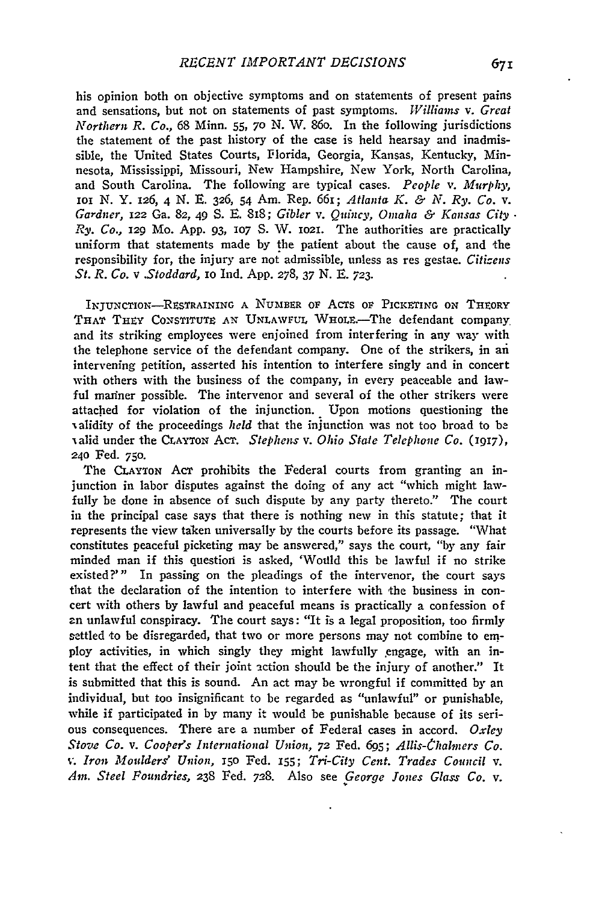his opinion both on objective symptoms and on statements of present pains and sensations, but not on statements of past symptoms. *lVilliams* v. *Great Northern R. Co.,* 68 Minn. 55, 70 N. W. 86o. In the following jurisdictions the statement of the past history of the case is held hearsay and inadmissible, the United States Courts, Florida, Georgia, Kansas, Kentucky, Minnesota, Mississippi, Missouri, New Hampshire, New York, North Carolina, and South Carolina. The following are typical cases. *People* v. *M11rplzy,*  IOI N. Y. 126, 4 N. E. 326, 54 Am. Rep. 66!; *Atlanta K.* & *N. Ry. Co.* v. *Gardner,* 122 Ga. 82, 49 S. E. 818; *Gibler* v. *Q11i110•, Omaha* & *Kansas City* · *Ry. Co.,* 129 Mo. App. 93, 107 S. W. 1021. The authorities are practically uniform that statements made by the patient about the cause of, and the responsibility for, the injury are not admissible, unless as res gestae. *Citizens St. R. Co.* v *.Stoddard,* IO Ind. App. 278, 37 N. E. 723.

INTUNCTION-RESTRAINING A NUMBER OF ACTS OF PICKETING ON THEORY THAT THEY CONSTITUTE AN UNLAWFUL WHOLE.-The defendant company. and its striking employees were enjoined from interfering in any way with the telephone service of the defendant company. One of the strikers, in an intervening petition, asserted his intention to interfere singly and in concert with others with the business of the company, in every peaceable and lawful mariner possible. The intervenor and several of the other strikers were attached for violation of the injunction. Upon motions questioning the validity of the proceedings *held* that the injunction was not too broad to be valid under the CLAYTON ACT. *Stephens* v. *Ohio State Telephone Co.* (1917), 240 Fed. 750.

The CLAYTON ACT prohibits the Federal courts from granting an injunction in labor disputes against the doing of any act "which might lawfully be done in absence of such dispute by any party thereto." The court in the principal case says that there is nothing new in this statute; that it represents the view taken universally by the courts before its passage. "'What constitutes peaceful picketing may be answered," says the court, "by any fair minded man if this question is asked, 'Would this be lawful if no strike existed?'" In passing on the pleadings of the intervenor, the court says that the declaration of the intention to interfere with the business in concert with others by lawful and peaceful means is practically a confession of ~n unlawful conspiracy. The court says: "It is a legal proposition, too firmly settled to be disregarded, that two or more persons may not combine to employ activities, in which singly they might lawfully engage, with an intent that the effect of their joint action should be the injury of another." It is submitted that this is sound. An act may be wrongful if committed by an individual, but too insignificant to be regarded as "unlawful" or punishable, while if participated in by many it would be punishable because of its serious consequences. There are a number of Federal cases in accord. *Oxley Stove Co. v. Cooper's International Union, 72 Fed. 695; Allis-Chalmers Co.* \·. *Iron l1Io11lders' Union,* 150 Fed. 155; *Tri-City Cent. Trades Co1111cil* v. *Am. Steel Fo1111dries,* 238 Fed. 728. Also see *\_George Jones Glass Co.* v.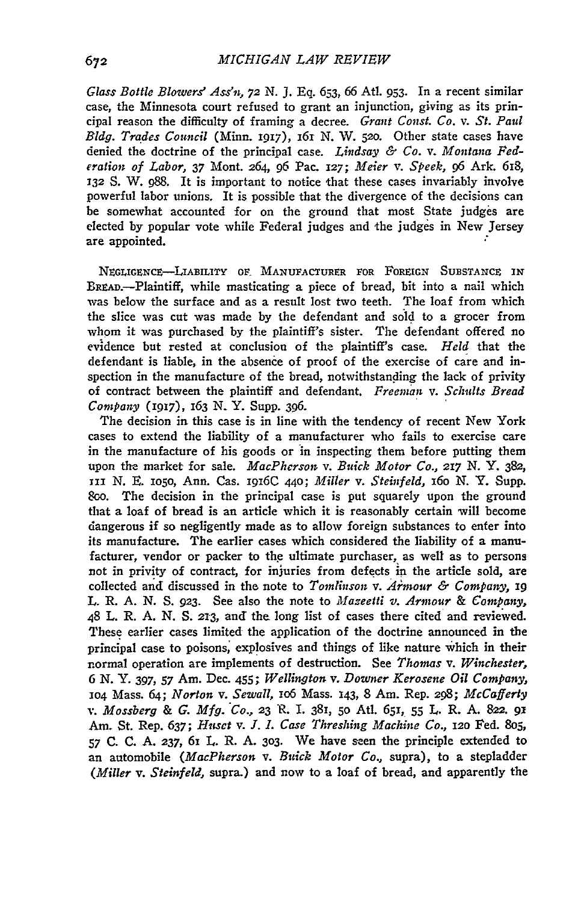*Glass Bottle Blowers' Assn, 72* N. *].* Eq. 653, 66 Atl. 953. In a recent similar case, the Minnesota court refused to grant an injunction, giving as its principal reason the difficulty of framing a decree. *Gra11t Const. Co.* v. *St. Paul Bldg. Trades Council (Minn. 1917), 161 N. W. 520. Other state cases have* denied the doctrine of the principal case. Lindsay & Co. v. Montana Fed*eration of Labor,* 37 Mont. *264,* 96 Pac. *127; Meier* v. *Speek,* g6 Ark. 6I8, *132* S. W. g88. It is important to notice that these cases invariably involve powerful labor unions. It is possible that the divergence of the decisions can be somewhat accounted for on the ground that most State judges are elected by popular vote while Federal judges and the judges in New Jersey are appointed. *:* 

NEGLIGENCE-LIABILITY OF. MANUFACTURER FOR FOREIGN SUBSTANCE IN BREAD.-Plaintiff, while masticating a piece of bread, bit into a nail which was below the surface and as a result lost two teeth. The loaf from which the slice was cut was made by the defendant and sold to a grocer from whom it was purchased by the plaintiff's sister. The defendant offered no evidence but rested at conclusion of the plaintiff's case. *Held* that the defendant is liable, in the absence of proof of the exercise of care and inspection in the manufacture of the bread, notwithstanding the lack of privity of contract between the plaintiff and defendant. *Freeman* v. *Sclmlts Bread Company* (1917), 163 N.Y. Supp. 396.

The decision in this case is in line with the tendency of recent New York cases to extend the liability of a manufacturer who fails to exercise care in the manufacture of his goods or 'in inspecting them before putting them upon the market for sale. *MacPherson v. Buick Motor Co., 217 N.Y.* 382, III N. E. 1050, Ann. Cas. I9I6C 440; *Miller* v. *Steinfeld,* 160 N. Y. Supp. 8oo. The decision in the principal case is put squarely upon the ground that a loaf of bread is an article which it is reasonably certain will become ciangerous if so negligently made as to allow foreign substances to enter into its manufacture. The earlier cases which considered the liability of a manufacturer, vendor or packer to the ultimate purchaser, as well as to persons not in privity of contract, for injuries from defects in the article sold, are collected and discussed in the note to *Tomtiizson* v. *Armour* & *Company,* 19 L. R. A. N. S. 923. See also the note to *Mazeetti v. Armour* & *Company,*  48 L. R. A. N. S. 21·3, and the long list of cases there cited and reviewed. These earlier cases limited the application of the doctrine announced in the principal case to poisons; explosives and things of like nature which in their normal operation are implements of destruction. See *Thomas* v. *Winchester,*  6 N. Y. 397, 57 Am. Dec. 455; *Wellington* v. *Downer Kerosene Oil Company,*  104 Mass. 64; *Norton* v. *Sewall,* 1o6 Mass. I43, 8 Am. Rep. *298; McCa/ferly*  v. *Mossberg & G. Mfg. Co., 23* R. I. 381, 50 Atl. 651, 55 L. R. A. 822. 91 Am. St. Rep. 637; *H11sct* v. J. *I. Case Threshing Machine Co.,* 120 Fed. Sos,  $57$  C. C. A. 237, 61 L. R. A. 303. We have seen the principle extended to an automobile *(MacPherson* v. *Buick Motor Co.,* supra), to a stepladder *(Miller* v. *Steinfeld,* supra.) and now to a loaf of bread, and apparently the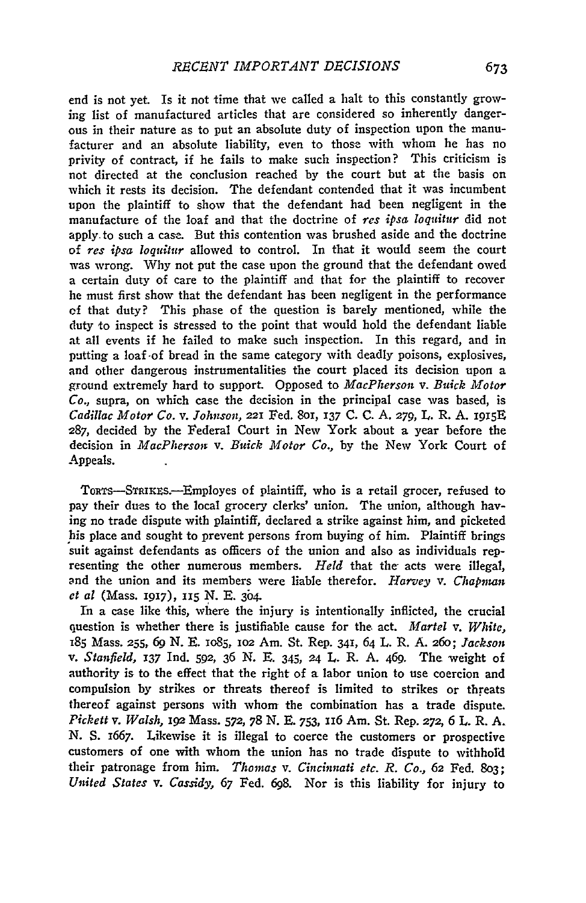end is not yet. Is it not time that we called a halt to this constantly growing list of manufactured articles that are considered so inherently dangerous in their nature as to put an absolute duty of inspection upon the manufacturer and an absolute liability, even to those with whom he has no privity of contract, if he fails to make such inspection? This criticism is not directed at the conclusion reached by the court but at the basis on which it rests its decision. The defendant contended that it was incumbent upon the plaintiff to show that the defendant had been negligent in the manufacture of the loaf and that the doctrine of *res ipsa loquitur* did not apply. to such a case. But this contention was brushed aside and the doctrine of *res ipsa loq11it11r* allowed to control. In that it would seem the court was wrong. Why not put the case upon the ground that the defendant owed a certain duty of care to the plaintiff and that for the plaintiff to recover he must first show that the defendant has been negligent in the performance cf that duty? This phase of the question is barely mentioned, while the duty to inspect is stressed to the point that would hold the defendant liable at all events if he failed to make such inspection. In this regard, and in putting a loaf ·of bread in the same category with deadly poisons, explosives, and other dangerous instrumentalities the court placed its decision upon a ground extremely hard to support. Opposed to *MacPherson* v. *Buick .Motor Co.,* supra, on which case the decision in the principal case was based, is *Cadillac Motor Co.* v. *Johnson,* 221 Fed. 801, 137 C. C. A. 279, L. R. A. l915E 287, decided by the Federal Court in New York about a year before the decision in *MacPherson* v. *Buick Motor Co.*, by the New York Court of Appeals.

TORTS--STRIKES.--Employes of plaintiff, who is a retail grocer, refused to pay their dues to the local grocery clerks' union. The union, although having no trade dispute with plaintiff, declared a strike against him, and picketed his place and sought to prevent persons from buying of him. Plaintiff brings suit against defendants as officers of the union and also as individuals representing the other numerous members. *Held* that the acts were illegal, ~nd the union and its members were liable therefor. *Harvey* v. *Chapman et al* (Mass. 1917), 115 N. E. 304.

In a case like this, where the injury is intentionally inflicted, the crucial question is whether there is justifiable cause for the. act. *Martel* v. *White,*  r85 Mass. 255, 6g N. E. 1085, 102 Am. St. Rep. 341, 64 L. R. A. 26o; *Jackson*  v. *Stanfield,* 137 Ind. 592, 36 N. E. 345, 24 L. R. A. 469. The weight of authority is to the effect that the right of a labor union to use coercion and compulsion by strikes or threats thereof is limited to strikes or threats thereof against persons with whom the combination has a trade dispute. *Pickett* v. *Walsh,* 192 Mass. 572, 78 N. E. 753, n6 Arn. St. Rep. 272, 6 L. R. A. N. S. 1667. Likewise it is illegal to coerce the customers or prospective customers of one with whom the union has no trade dispute to withhol'd their patronage from him. *Thomas* v. *Cincinnati etc. R. Co.,* 62 Fed. 8o3; *United States* v. *Cassidy,* 67 Fed. 6g8. Nor is this liability for injury to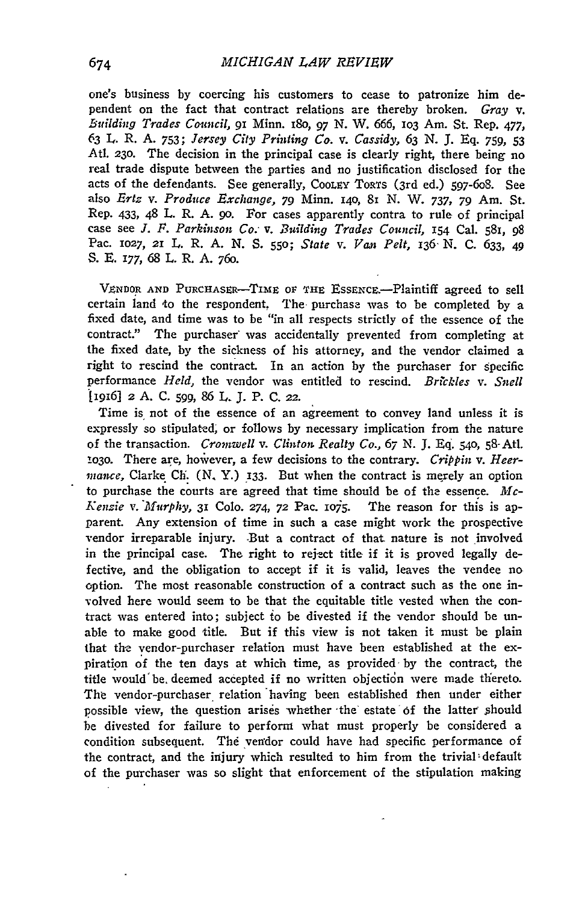one's business by coercing his customers to cease to patronize him dependent on the fact that contract relations are thereby broken. *Gray* v. *Bt1ilding Trades Comicil,* 91 Minn. 18o, *97* N. W. 666, 103 Am. St. Rep. *477,*  63 L. R. A. 753; *Jersey City Printing Cq.* v. *Cassidy,* 63 N. ]. Eq. *759,* 53 Atl. 230. The decision in the principal case is clearly right, there being no real trade dispute between the parties and no justification disclosed for the acts of the defendants. See generally, COOLEY TORTS (3rd ed.) 597-6o8. See also *Ertz* v. *Produce Exclza11ge, 79* Minn. 140, 81 N. W. 737, *79* Am. St. Rep. 433, 48 L. R. A. 90. For cases apparently contra to rule of principal case see *J. F. Parkinson Co;* v. *Building Trades Council,* 154 Cal. 581, 98 Pac. 1027, 21 L. R. A. N. S. 550; *State* v. *Van Pelt,* 136· N. C. 633, *49*  S. E. 177, 68 L. R. A. *76o.* 

VENDOR AND PURCHASER-TIME OF THE ESSENCE.-Plaintiff agreed to sell certain land 1o the respondent, The purchase was to be completed by a fixed date, and time was to be "in all respects strictly of the essence of the contract." The purchaser was accidentally prevented from completing at the fixed date, by the sickness of his attorney, and the vendor claimed a right to rescind the contract. In an action by the purchaser for specific performance *Held,* the vendor was entitled to rescind. *Brickles* v. *Snell*  '[i916] *2* A. C. *599,* 86 L. J. P. C. 22.

Time is not of the essence of an agreement to convey land unless it is expressly so stipulated; or follows by necessary implication from the nature of the transaction. *Cromwell v. Clinton Realty Co.*, 67 N. J. Eq. 540, 58-Atl. 1030. There are, however, a few decisions to the contrary. *Crippin v. Heermance*, Clarke Ch. (N, Y.) 133. But when the contract is merely an option to purchase the courts are agreed that time should be of the essence.  $Mc-$ *Kenzie v. Murphy, 31 Colo. 274, 72 Pac. 1075.* The reason for this is apparent. Any extension of time in such a case might work the prospective vendor irreparable injury. But a contract of that nature is not involved in the principal case. The right to reject title if it is proved legally defective, and the obligation to accept if it is valid, leaves the vendee no option. The most reasonable construction of a contract such as the one in- >olved here would seem to be that the equitable title vested when the contract was entered into; subject io be divested if the vendor should be unable to make good title. But if this view is not taken it must be plain that the vendor-purchaser relation must have been established at the expiration of the ten days at which time, as provided by the contract, the title would be deemed accepted if no written objection were made thereto. The vendor-purchaser relation having been established then under either possible view, the question arises whether the estate of the latter should be divested for failure to perfonn what must properly be considered a condition subsequent. The vendor could have had specific performance of the contract, and the injury which resulted to him from the trivial' default of the purchaser was so slight that enforcement of the stipulation making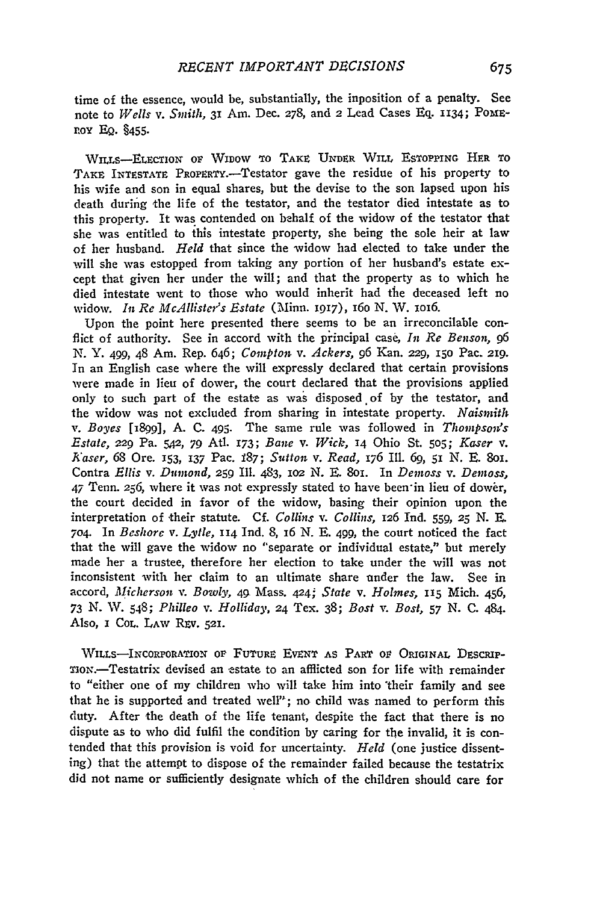time of the essence, would be, substantially, the inposition of a penalty. See note to *Wells v. Smith, 31 Am. Dec. 278, and 2 Lead Cases Eq. 1134; POME*r.oY EQ. §455·

WILLS-ELECTION OF WIDOW TO TAKE UNDER WILL ESTOPPING HER TO TAKE INTESTATE PROPERTY.-Testator gave the residue of his property to his wife and son in equal shares, but the devise to the son lapsed upon his death during the life of the testator, and the testator died intestate as to this property. It was contended on behalf of the widow of the testator that she was entitled to this intestate property, she being the sole heir at law of her husband. *Held* that since the widow had elected to take under the will she was estopped from taking any portion of her husband's estate except that given her under the will; and that the property as to which he died intestate went to those who would inherit had the deceased left no widow. In Re McAllister's Estate (Minn. 1917), 160 N. W. 1016.

Upon the point here presented there seems to be an irreconcilable conflict of authority. See in accord with the principal case, In Re Benson, 96 N. Y. 499, 48 Am. Rep. *646; Compt01i* v. *Ackers,* 96 Kan. 229, 150 Pac. 219. In an English case where the wilt expressly declared that certain provisions were made in lieu of dower, the court declared that the provisions applied only to such part of the estate as was disposed of by the testator, and the widow was not excluded from sharing in intestate property. *Naismith*  v. Boyes [1899], A. C. 495. The same rule was followed in Thompson's *Estate,* 229 Pa. *SAZ, 79* At!. 173; *Bane* v. *Wick,* 14 Ohio St. *505; Kaser* v. *Kaser,* 68 Ore. 153, 137 Pac. i87; *Sutton* v. *Read,* 176 Ill. 6g, 51 N. E. 8o1. Contra *Ellis* v. *D11mo11d,* 259 Ill. 483, 102 N. E. 8o1. In *Demoss* v. *Demoss,*  47 Tenn. 256, where it was not expressly stated to have been·in lieu of dower, the court decided in favor of the widow, basing their opinion upon the interpretation of their statute. Cf. *Collins v. Collins,* 126 Ind. 559, 25 N. E. 704 In *Beshore* v. *Lytle,* II4 Ind. 8, 16 N. E. 499, the court noticed the fact that the will gave the widow no "separate or individual estate," but merely made her a trustee, therefore her election to take under the will was not inconsistent with her claim to an ultimate share under the Jaw. See in accord, *Micherson* v. *Bowly,* 4g. Mass. 424; *State* v. *Holmes,* ns Mich. 456, 73 N. W. 5~8; *Philleo* v. *Holliday,* 24 Tex. *38; Bost* v. *Bost, 57* N. C. 484. Also, I Col. LAW REV. 521.

WILLS-INCORPORATION OF FUTURE EVENT AS PART OF ORIGINAL DESCRIP-TION.-Testatrix devised an estate to an afflicted son for life with remainder to "either one of my children who will take him into "their family and see that he is supported and treated well"; no child was named to perform this duty. After the death of the life tenant, despite the fact that there is no dispute as to who did fulfil the condition by caring for the invalid, it is contended that this provision is void for uncertainty. *Held* (one justice dissenting) that the attempt to dispose of the remainder failed because the testatrix did not name or sufficiently designate which of the children should care for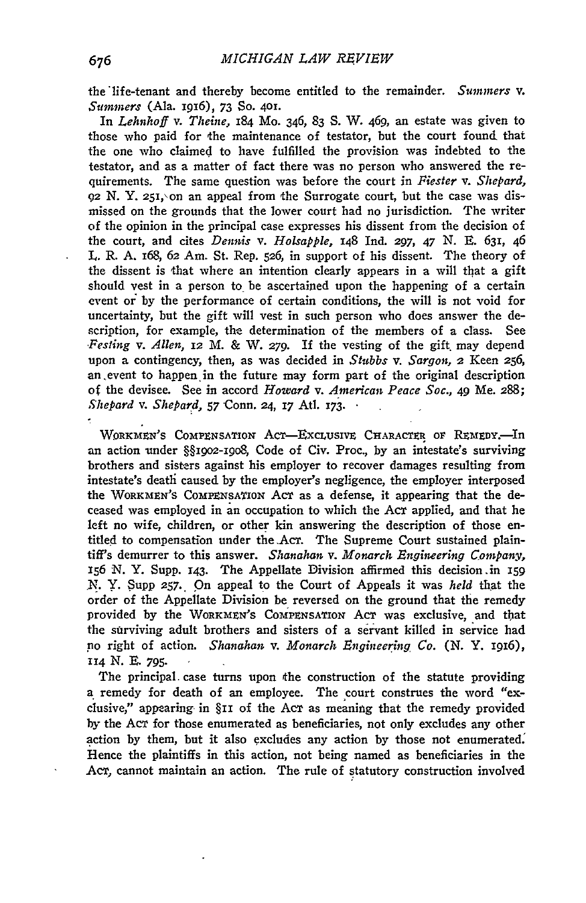the life-tenant and thereby become entitled to the remainder. Summers v. *Sitmmers* (Ala. 1916), 73 So. 401.

In *Lehnhoff* v. *Theine,* 184 Mo. 346, 83 S. W. 469, an estate was given to those who paid for the maintenance of testator, but the court found that the one who claimed to have fulfilled the provision was indebted to the testator, and as a matter of fact there was no person who answered the requirements. The same question was before the court in *Fiester* v. *Shepard,*   $92$  N. Y. 251, on an appeal from the Surrogate court, but the case was dismissed on the grounds that the lower court had no jurisdiction. The writer of the opinion in the principal case expresses his dissent from the decision of the court, and cites *De1mis* v. *Holsapple,* 148 Ind. *297,* 47 N. E. 631, 46 L. R. A. 168, 62 Am. St. Rep. 526, in support of his dissent. The theory of the dissent is that where an intention clearly appears in a will that a gift should vest in a person to\_ be ascertained upon the happening of a certain event or by the performance of certain conditions, the will is not void for uncertainty, but the gift will vest in such person who does answer the description, for example, the determination of the members of a class. See *.Pesting* v. *Allen,* 12 M. & W. *279.* If the vesting of the gift. may depend upon a contingency, then, as was decided in *Stubbs v. Sargon, 2* Keen 256, an. event to happen. in the future may form part of the original description of the devisee. See in accord *Howard* v. *American Peace Soc.,* 49 Me. 288; *Shepard v. Shepard, 57 Conn. 24, 17 Atl. 173.* ·

WORKMEN'S COMPENSATION ACT-EXCLUSIVE CHARACTER OF REMEDY.<sup>In</sup> an action under §§1902-19o8, Code of Civ. Proc., by an intestate's surviving brothers and sisrers against his employer to recover damages resulting from intestate's deatli caused by the employer's negligence, the employer interposed the WORKMEN'S COMPENSATION ACT as a defense, it appearing that the deceased was employed in an occupation to which the ACT applied, and that he left no wife, children, or other kin answering the description of those entitled to compensation under the .Acr. The Supreme Court sustained plaintiff's demurrer to this answer. *Shanahan* v. *Monarch Engineering Company,*  156 N. Y. Supp. 143· The Appellate Division affirmed this decision .in 159 N. Y. Supp 257. On appeal to the Court of Appeals it was *held* that the order of the Appellate Division be reversed on the ground that the remedy provided by the WORKMEN's COMPENSATION ACT was exclusive, and that the surviving adult brothers and sisters of a servant killed in service had *po* right of action. *Shanahan* v. *Monarch Engineet:ing Co.* (N. Y. 1916), II4 N. E. *795·* 

The principal case turns upon the construction of the statute providing a remedy for death of an employee. The court construes the word "exclusive," appearing in §11 of the Acr as meaning that the remedy provided by the ACT for those enumerated as beneficiaries, not only excludes any other action by them, but it also excludes any action by those not enumerated. Hence the plaintiffs in this action, not being named as beneficiaries in the Acr, cannot maintain an action. The rule of statutory construction involved